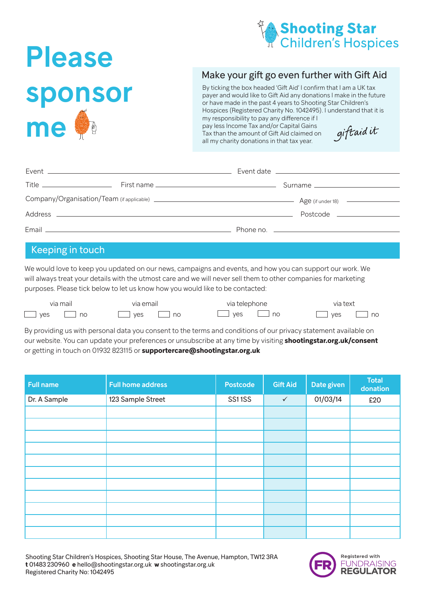

## Please sponsor me O

## Make your gift go even further with Gift Aid

By ticking the box headed 'Gift Aid' I confirm that I am a UK tax payer and would like to Gift Aid any donations I make in the future or have made in the past 4 years to Shooting Star Children's Hospices (Registered Charity No. 1042495). I understand that it is my responsibility to pay any difference if I pay less Income Tax and/or Capital Gains giftaidit Tax than the amount of Gift Aid claimed on all my charity donations in that tax year.

| Postcode __________________ |
|-----------------------------|
|                             |

## Keeping in touch

We would love to keep you updated on our news, campaigns and events, and how you can support our work. We will always treat your details with the utmost care and we will never sell them to other companies for marketing purposes. Please tick below to let us know how you would like to be contacted:

| via mail   | via email | via telephone                | via text                     |  |
|------------|-----------|------------------------------|------------------------------|--|
| $\Box$ yes | I ves     | $\overline{\phantom{a}}$ ves | $\Box$ no                    |  |
| no no      | no        | no                           | $\overline{\phantom{a}}$ yes |  |

By providing us with personal data you consent to the terms and conditions of our privacy statement available on our website. You can update your preferences or unsubscribe at any time by visiting **shootingstar.org.uk/consent** or getting in touch on 01932 823115 or **supportercare@shootingstar.org.uk**

| <b>Full name</b> | <b>Full home address</b> | <b>Postcode</b> | Gift Aid     | Date given | <b>Total</b><br>donation |
|------------------|--------------------------|-----------------|--------------|------------|--------------------------|
| Dr. A Sample     | 123 Sample Street        | SS11SS          | $\checkmark$ | 01/03/14   | £20                      |
|                  |                          |                 |              |            |                          |
|                  |                          |                 |              |            |                          |
|                  |                          |                 |              |            |                          |
|                  |                          |                 |              |            |                          |
|                  |                          |                 |              |            |                          |
|                  |                          |                 |              |            |                          |
|                  |                          |                 |              |            |                          |
|                  |                          |                 |              |            |                          |
|                  |                          |                 |              |            |                          |
|                  |                          |                 |              |            |                          |
|                  |                          |                 |              |            |                          |